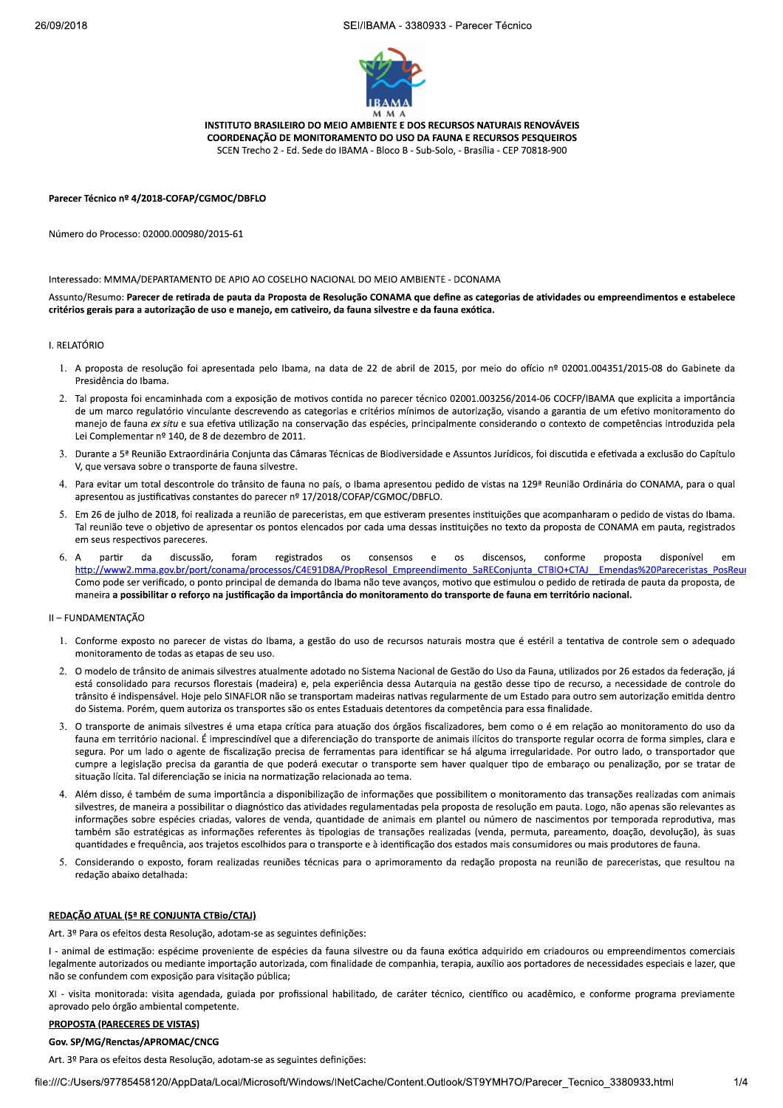

INSTITUTO BRASILEIRO DO MEIO AMBIENTE E DOS RECURSOS NATURAIS RENOVÁVEIS COORDENAÇÃO DE MONITORAMENTO DO USO DA FAUNA E RECURSOS PESQUEIROS SCEN Trecho 2 - Ed. Sede do IBAMA - Bloco B - Sub-Solo, - Brasília - CEP 70818-900

Parecer Técnico nº 4/2018-COFAP/CGMOC/DBFLO

Número do Processo: 02000.000980/2015-61

Interessado: MMMA/DEPARTAMENTO DE APIO AO COSELHO NACIONAL DO MEIO AMBIENTE - DCONAMA

Assunto/Resumo: Parecer de retirada de pauta da Proposta de Resolução CONAMA que define as categorias de atividades ou empreendimentos e estabelece critérios gerais para a autorização de uso e manejo, em cativeiro, da fauna silvestre e da fauna exótica.

## **J. RELATÓRIO**

- 1. A proposta de resolução foi apresentada pelo Ibama, na data de 22 de abril de 2015, por meio do ofício nº 02001.004351/2015-08 do Gabinete da Presidência do Ibama.
- Tal proposta foi encaminhada com a exposição de motivos contida no parecer técnico 02001.003256/2014-06 COCFP/IBAMA que explicita a importância de um marco regulatório vinculante descrevendo as categorias e critérios mínimos de autorização, visando a garantia de um efetivo monitoramento do manejo de fauna ex situ e sua efetiva utilização na conservação das espécies, principalmente considerando o contexto de competências introduzida pela Lei Complementar nº 140, de 8 de dezembro de 2011.
- 3. Durante a 5ª Reunião Extraordinária Conjunta das Câmaras Técnicas de Biodiversidade e Assuntos Jurídicos, foi discutida e efetivada a exclusão do Capítulo V, que versava sobre o transporte de fauna silvestre.
- 4. Para evitar um total descontrole do trânsito de fauna no país, o Ibama apresentou pedido de vistas na 129ª Reunião Ordinária do CONAMA, para o qual apresentou as justificativas constantes do parecer nº 17/2018/COFAP/CGMOC/DBFLO.
- 5. Em 26 de julho de 2018, foi realizada a reunião de pareceristas, em que estiveram presentes instituições que acompanharam o pedido de vistas do Ibama. Tal reunião teve o objetivo de apresentar os pontos elencados por cada uma dessas instituições no texto da proposta de CONAMA em pauta, registrados em seus respectivos pareceres.
- partir da discussão. foram registrados os consensos  $e$  $\overline{\text{os}}$ discensos. conforme proposta disponível http://www2.mma.gov.br/port/conama/processos/C4E91D8A/PropResol Empreendimento 5aREConjunta CTBIO+CTAJ Emendas%20Pareceristas PosReur Como pode ser verificado, o ponto principal de demanda do Ibama não teve avanços, motivo que estimulou o pedido de retirada de pauta da proposta, de maneira a possibilitar o reforço na justificação da importância do monitoramento do transporte de fauna em território nacional.

### II - FUNDAMENTACÃO

- 1. Conforme exposto no parecer de vistas do Ibama, a gestão do uso de recursos naturais mostra que é estéril a tentativa de controle sem o adequado monitoramento de todas as etapas de seu uso
- 2. O modelo de trânsito de animais silvestres atualmente adotado no Sistema Nacional de Gestão do Uso da Fauna, utilizados por 26 estados da federação, já está consolidado para recursos florestais (madeira) e, pela experiência dessa Autarquia na gestão desse tipo de recurso, a necessidade de controle do trânsito é indispensável. Hoje pelo SINAFLOR não se transportam madeiras nativas regularmente de um Estado para outro sem autorização emitida dentro do Sistema. Porém, quem autoriza os transportes são os entes Estaduais detentores da competência para essa finalidade.
- 3. O transporte de animais silvestres é uma etapa crítica para atuação dos órgãos fiscalizadores, bem como o é em relação ao monitoramento do uso da fauna em território nacional. É imprescindível que a diferenciação do transporte de animais ilícitos do transporte regular ocorra de forma simples, clara e segura. Por um lado o agente de fiscalização precisa de ferramentas para identificar se há alguma irregularidade. Por outro lado, o transportador que cumpre a legislação precisa da garantia de que poderá executar o transporte sem haver qualquer tipo de embaraço ou penalização, por se tratar de situação lícita. Tal diferenciação se inicia na normatização relacionada ao tema.
- Além disso, é também de suma importância a disponibilização de informações que possibilitem o monitoramento das transações realizadas com animais silvestres, de maneira a possibilitar o diagnóstico das atividades regulamentadas pela proposta de resolução em pauta. Logo, não apenas são relevantes as informações sobre espécies criadas, valores de venda, quantidade de animais em plantel ou número de nascimentos por temporada reprodutiva, mas também são estratégicas as informações referentes às tipologias de transações realizadas (venda, permuta, pareamento, doação, devolução), às suas quantidades e frequência, aos trajetos escolhidos para o transporte e à identificação dos estados mais consumidores ou mais produtores de fauna.
- 5. Considerando o exposto, foram realizadas reuniões técnicas para o aprimoramento da redação proposta na reunião de pareceristas, que resultou na redação abaixo detalhada:

## REDAÇÃO ATUAL (5ª RE CONJUNTA CTBio/CTAJ)

Art. 3º Para os efeitos desta Resolução, adotam-se as seguintes definições:

I - animal de estimação: espécime proveniente de espécies da fauna silvestre ou da fauna exótica adquirido em criadouros ou empreendimentos comerciais legalmente autorizados ou mediante importação autorizada, com finalidade de companhia, terapia, auxílio aos portadores de necessidades especiais e lazer, que não se confundem com exposição para visitação pública;

XI - visita monitorada: visita agendada, guiada por profissional habilitado, de caráter técnico, científico ou acadêmico, e conforme programa previamente aprovado pelo órgão ambiental competente.

### **PROPOSTA (PARECERES DE VISTAS)**

## Gov. SP/MG/Renctas/APROMAC/CNCG

Art. 3º Para os efeitos desta Resolução, adotam-se as seguintes definições: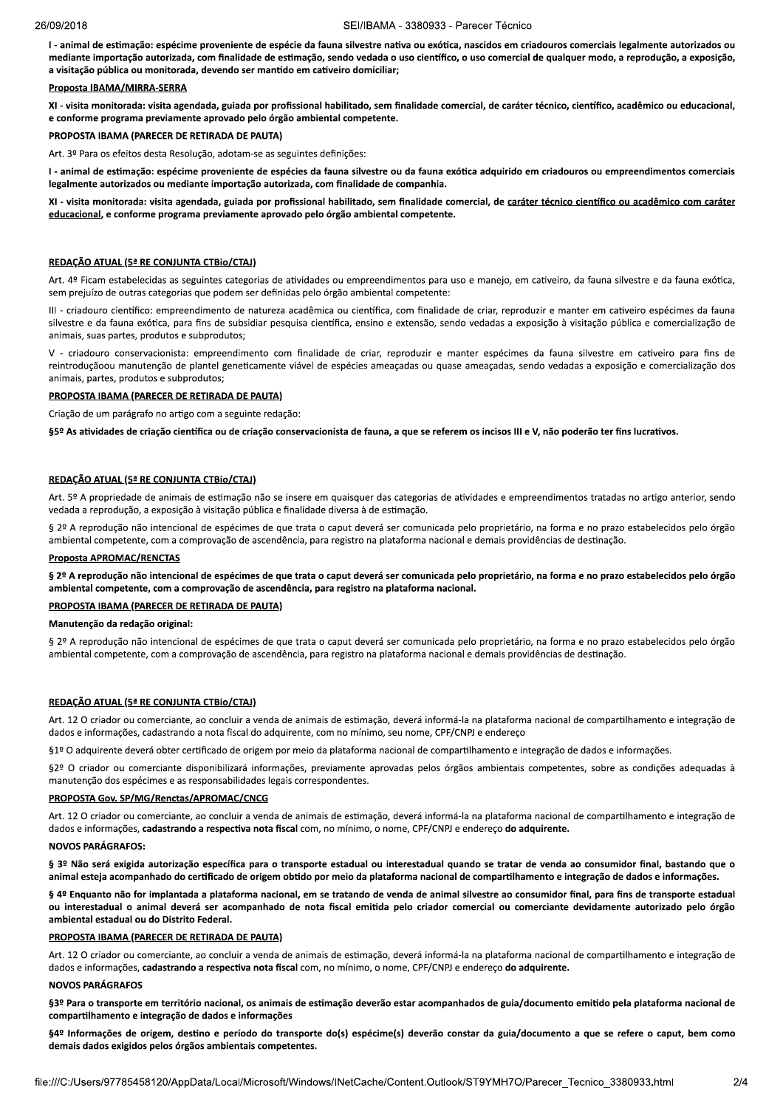I - animal de estimação: espécime proveniente de espécie da fauna silvestre nativa ou exótica, nascidos em criadouros comerciais legalmente autorizados ou mediante importação autorizada, com finalidade de estimação, sendo vedada o uso científico, o uso comercial de qualquer modo, a reprodução, a exposição, a visitação pública ou monitorada, devendo ser mantido em cativeiro domiciliar;

### Proposta IBAMA/MIRRA-SERRA

XI - visita monitorada: visita agendada, guiada por profissional habilitado, sem finalidade comercial, de caráter técnico, científico, acadêmico ou educacional, e conforme programa previamente aprovado pelo órgão ambiental competente.

## PROPOSTA IBAMA (PARECER DE RETIRADA DE PAUTA)

Art. 3º Para os efeitos desta Resolução, adotam-se as seguintes definições:

I - animal de estimação: espécime proveniente de espécies da fauna silvestre ou da fauna exótica adquirido em criadouros ou empreendimentos comerciais legalmente autorizados ou mediante importação autorizada, com finalidade de companhia

XI - visita monitorada: visita agendada, guiada por profissional habilitado, sem finalidade comercial, de caráter técnico científico ou acadêmico com caráter educacional, e conforme programa previamente aprovado pelo órgão ambiental competente.

### REDAÇÃO ATUAL (5<sup>ª</sup> RE CONJUNTA CTBio/CTAJ)

Art. 4º Ficam estabelecidas as seguintes categorias de atividades ou empreendimentos para uso e manejo, em cativeiro, da fauna silvestre e da fauna exótica, sem prejuízo de outras categorias que podem ser definidas pelo órgão ambiental competente:

III - criadouro científico: empreendimento de natureza acadêmica ou científica, com finalidade de criar, reproduzir e manter em cativeiro espécimes da fauna silvestre e da fauna exótica, para fins de subsidiar pesquisa científica, ensino e extensão, sendo vedadas a exposição à visitação pública e comercialização de animais, suas partes, produtos e subprodutos;

V - criadouro conservacionista: empreendimento com finalidade de criar, reproduzir e manter espécimes da fauna silvestre em cativeiro para fins de reintroduçãoou manutenção de plantel geneticamente viável de espécies ameaçadas ou quase ameaçadas, sendo vedadas a exposição e comercialização dos animais, partes, produtos e subprodutos;

# PROPOSTA IBAMA (PARECER DE RETIRADA DE PAUTA)

Criação de um parágrafo no artigo com a seguinte redação:

§5º As atividades de criação científica ou de criação conservacionista de fauna, a que se referem os incisos III e V, não poderão ter fins lucrativos.

### REDAÇÃO ATUAL (5<sup>ª</sup> RE CONJUNTA CTBio/CTAJ)

Art. 5º A propriedade de animais de estimação não se insere em quaisquer das categorias de atividades e empreendimentos tratadas no artigo anterior, sendo vedada a reprodução, a exposição à visitação pública e finalidade diversa à de estimação.

§ 2º A reprodução não intencional de espécimes de que trata o caput deverá ser comunicada pelo proprietário, na forma e no prazo estabelecidos pelo órgão ambiental competente, com a comprovação de ascendência, para registro na plataforma nacional e demais providências de destinação.

## **Proposta APROMAC/RENCTAS**

§ 2º A reprodução não intencional de espécimes de que trata o caput deverá ser comunicada pelo proprietário, na forma e no prazo estabelecidos pelo órgão ambiental competente, com a comprovação de ascendência, para registro na plataforma nacional.

## PROPOSTA IBAMA (PARECER DE RETIRADA DE PAUTA)

## Manutenção da redação original:

§ 2º A reprodução não intencional de espécimes de que trata o caput deverá ser comunicada pelo proprietário, na forma e no prazo estabelecidos pelo órgão ambiental competente, com a comprovação de ascendência, para registro na plataforma nacional e demais providências de destinação.

### REDAÇÃO ATUAL (5ª RE CONJUNTA CTBIO/CTAJ)

Art. 12 O criador ou comerciante, ao concluir a venda de animais de estimação, deverá informá-la na plataforma nacional de compartilhamento e integração de dados e informações, cadastrando a nota fiscal do adquirente, com no mínimo, seu nome, CPF/CNPJ e endereco

§1º O adquirente deverá obter certificado de origem por meio da plataforma nacional de compartilhamento e integração de dados e informações.

§2º O criador ou comerciante disponibilizará informações, previamente aprovadas pelos órgãos ambientais competentes, sobre as condições adequadas à manutenção dos espécimes e as responsabilidades legais correspondentes.

### PROPOSTA Gov. SP/MG/Renctas/APROMAC/CNCG

Art. 12 O criador ou comerciante, ao concluir a venda de animais de estimação, deverá informá-la na plataforma nacional de compartilhamento e integração de dados e informações, cadastrando a respectiva nota fiscal com, no mínimo, o nome, CPF/CNPJ e endereço do adquirente.

#### NOVOS PARÁGRAFOS

§ 3º Não será exigida autorização específica para o transporte estadual ou interestadual quando se tratar de venda ao consumidor final, bastando que o animal esteja acompanhado do certificado de origem obtido por meio da plataforma nacional de compartilhamento e integração de dados e informações.

§ 4º Enquanto não for implantada a plataforma nacional, em se tratando de venda de animal silvestre ao consumidor final, para fins de transporte estadual ou interestadual o animal deverá ser acompanhado de nota fiscal emitida pelo criador comercial ou comerciante devidamente autorizado pelo órgão ambiental estadual ou do Distrito Federal.

#### PROPOSTA IBAMA (PARECER DE RETIRADA DE PAUTA)

Art. 12 O criador ou comerciante, ao concluir a venda de animais de estimação, deverá informá-la na plataforma nacional de compartilhamento e integração de dados e informações, cadastrando a respectiva nota fiscal com, no mínimo, o nome, CPF/CNPJ e endereço do adquirente.

### **NOVOS PARÁGRAFOS**

§3º Para o transporte em território nacional, os animais de estimação deverão estar acompanhados de guia/documento emitido pela plataforma nacional de compartilhamento e integração de dados e informações

§4º Informações de origem, destino e período do transporte do(s) espécime(s) deverão constar da guia/documento a que se refere o caput, bem como demais dados exigidos pelos órgãos ambientais competentes.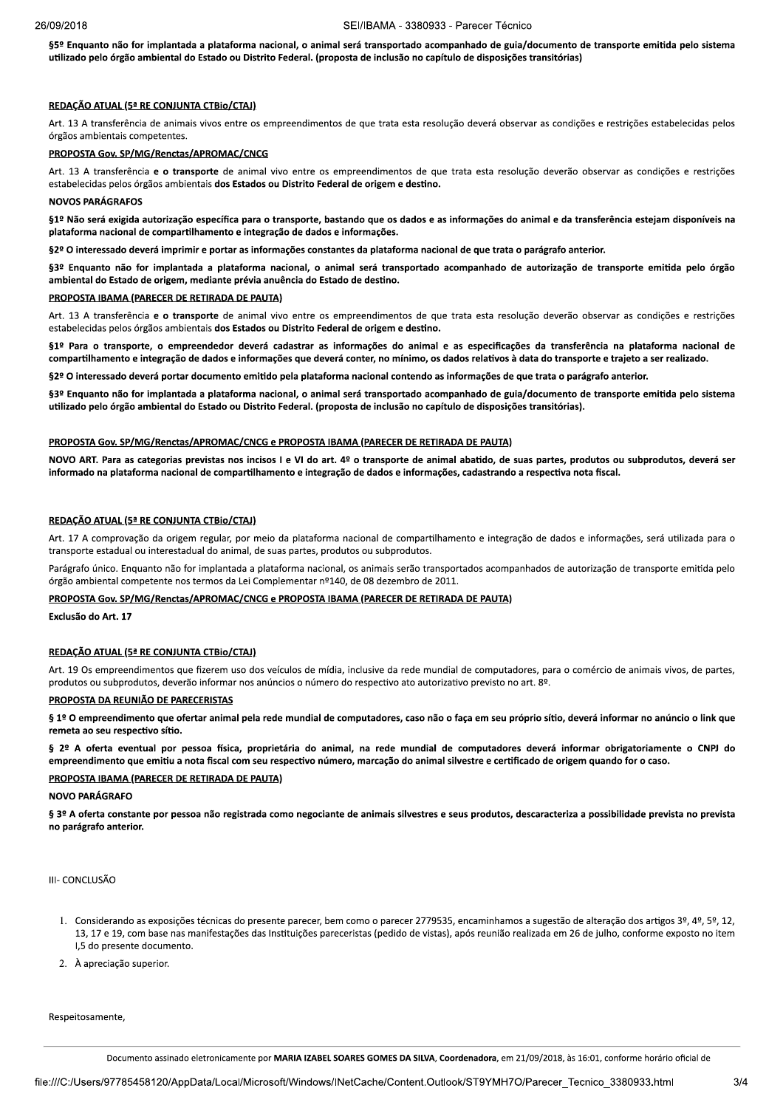§5º Enquanto não for implantada a plataforma nacional, o animal será transportado acompanhado de guia/documento de transporte emitida pelo sistema utilizado pelo órgão ambiental do Estado ou Distrito Federal. (proposta de inclusão no capítulo de disposições transitórias)

#### REDAÇÃO ATUAL (5<sup>ª</sup> RE CONJUNTA CTBio/CTAJ)

Art. 13 A transferência de animais vivos entre os empreendimentos de que trata esta resolução deverá observar as condições e restrições estabelecidas pelos órgãos ambientais competentes.

### PROPOSTA Gov. SP/MG/Renctas/APROMAC/CNCG

Art. 13 A transferência e o transporte de animal vivo entre os empreendimentos de que trata esta resolução deverão observar as condições e restrições estabelecidas pelos órgãos ambientais dos Estados ou Distrito Federal de origem e destino.

#### NOVOS PARÁGRAFOS

§1º Não será exigida autorização específica para o transporte, bastando que os dados e as informações do animal e da transferência estejam disponíveis na plataforma nacional de compartilhamento e integração de dados e informações.

§2º O interessado deverá imprimir e portar as informações constantes da plataforma nacional de que trata o parágrafo anterior.

§3º Enquanto não for implantada a plataforma nacional, o animal será transportado acompanhado de autorização de transporte emitida pelo órgão ambiental do Estado de origem, mediante prévia anuência do Estado de destino.

#### PROPOSTA IBAMA (PARECER DE RETIRADA DE PAUTA)

Art. 13 A transferência e o transporte de animal vivo entre os empreendimentos de que trata esta resolução deverão observar as condições e restrições estabelecidas pelos órgãos ambientais dos Estados ou Distrito Federal de origem e destino.

§1º Para o transporte, o empreendedor deverá cadastrar as informações do animal e as especificações da transferência na plataforma nacional de compartilhamento e integração de dados e informações que deverá conter, no mínimo, os dados relativos à data do transporte e trajeto a ser realizado.

§2º O interessado deverá portar documento emitido pela plataforma nacional contendo as informações de que trata o parágrafo anterior

§3º Enquanto não for implantada a plataforma nacional, o animal será transportado acompanhado de guia/documento de transporte emitida pelo sistema utilizado pelo órgão ambiental do Estado ou Distrito Federal. (proposta de inclusão no capítulo de disposições transitórias).

#### PROPOSTA Gov. SP/MG/Renctas/APROMAC/CNCG e PROPOSTA IBAMA (PARECER DE RETIRADA DE PAUTA)

NOVO ART. Para as categorias previstas nos incisos I e VI do art. 4º o transporte de animal abatido, de suas partes, produtos ou subprodutos, deverá ser informado na plataforma nacional de compartilhamento e integração de dados e informações, cadastrando a respectiva nota fiscal.

#### REDAÇÃO ATUAL (5ª RE CONJUNTA CTBio/CTAJ)

Art. 17 A comprovação da origem regular, por meio da plataforma nacional de compartilhamento e integração de dados e informações, será utilizada para o transporte estadual ou interestadual do animal, de suas partes, produtos ou subprodutos.

Parágrafo único. Enquanto não for implantada a plataforma nacional, os animais serão transportados acompanhados de autorização de transporte emitida pelo órgão ambiental competente nos termos da Lei Complementar nº140, de 08 dezembro de 2011.

### PROPOSTA Gov. SP/MG/Renctas/APROMAC/CNCG e PROPOSTA IBAMA (PARECER DE RETIRADA DE PAUTA)

Exclusão do Art. 17

#### REDAÇÃO ATUAL (5ª RE CONJUNTA CTBio/CTAJ)

Art. 19 Os empreendimentos que fizerem uso dos veículos de mídia, inclusive da rede mundial de computadores, para o comércio de animais vivos, de partes, produtos ou subprodutos, deverão informar nos anúncios o número do respectivo ato autorizativo previsto no art. 8º.

### PROPOSTA DA REUNIÃO DE PARECERISTAS

§ 1º O empreendimento que ofertar animal pela rede mundial de computadores, caso não o faça em seu próprio sítio, deverá informar no anúncio o link que remeta ao seu respectivo sítio

§ 2º A oferta eventual por pessoa física, proprietária do animal, na rede mundial de computadores deverá informar obrigatoriamente o CNPJ do empreendimento que emitiu a nota fiscal com seu respectivo número, marcação do animal silvestre e certificado de origem quando for o caso.

#### PROPOSTA IBAMA (PARECER DE RETIRADA DE PAUTA)

#### NOVO PARÁGRAFO

§ 3º A oferta constante por pessoa não registrada como negociante de animais silvestres e seus produtos, descaracteriza a possibilidade prevista no prevista no parágrafo anterior.

III- CONCLUSÃO

- 1. Considerando as exposições técnicas do presente parecer, bem como o parecer 2779535, encaminhamos a sugestão de alteração dos artigos 3º, 4º, 5º, 12. 13, 17 e 19, com base nas manifestações das Instituições pareceristas (pedido de vistas), após reunião realizada em 26 de julho, conforme exposto no item I,5 do presente documento.
- 2. À apreciação superior.

Respeitosamente.

Documento assinado eletronicamente por MARIA IZABEL SOARES GOMES DA SILVA, Coordenadora, em 21/09/2018, às 16:01, conforme horário oficial de